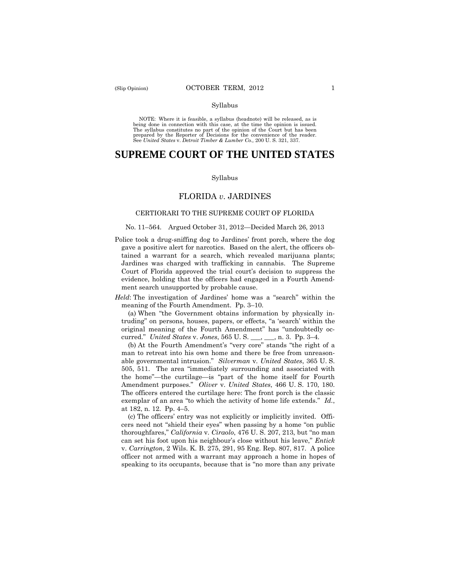#### Syllabus

 NOTE: Where it is feasible, a syllabus (headnote) will be released, as is being done in connection with this case, at the time the opinion is issued. The syllabus constitutes no part of the opinion of the Court but has been<br>prepared by the Reporter of Decisions for the convenience of the reader.<br>See United States v. Detroit Timber & Lumber Co., 200 U. S. 321, 337.

# **SUPREME COURT OF THE UNITED STATES**

#### Syllabus

## FLORIDA *v*. JARDINES

### CERTIORARI TO THE SUPREME COURT OF FLORIDA

#### No. 11–564. Argued October 31, 2012—Decided March 26, 2013

 gave a positive alert for narcotics. Based on the alert, the officers ob-Police took a drug-sniffing dog to Jardines' front porch, where the dog tained a warrant for a search, which revealed marijuana plants; Jardines was charged with trafficking in cannabis. The Supreme Court of Florida approved the trial court's decision to suppress the evidence, holding that the officers had engaged in a Fourth Amendment search unsupported by probable cause.

*Held*: The investigation of Jardines' home was a "search" within the meaning of the Fourth Amendment. Pp. 3–10.

(a) When "the Government obtains information by physically intruding" on persons, houses, papers, or effects, "a 'search' within the original meaning of the Fourth Amendment" has "undoubtedly occurred." *United States* v. *Jones*, 565 U. S. \_\_\_, \_\_\_, n. 3. Pp. 3–4.

(b) At the Fourth Amendment's "very core" stands "the right of a man to retreat into his own home and there be free from unreasonable governmental intrusion." *Silverman* v. *United States*, 365 U. S. 505, 511. The area "immediately surrounding and associated with the home"—the curtilage—is "part of the home itself for Fourth Amendment purposes." *Oliver* v. *United States*, 466 U. S. 170, 180. The officers entered the curtilage here: The front porch is the classic exemplar of an area "to which the activity of home life extends." *Id.*, at 182, n. 12. Pp. 4–5.

(c) The officers' entry was not explicitly or implicitly invited. Officers need not "shield their eyes" when passing by a home "on public thoroughfares," *California* v. *Ciraolo*, 476 U. S. 207, 213, but "no man can set his foot upon his neighbour's close without his leave," *Entick*  v. *Carrington*, 2 Wils. K. B. 275, 291, 95 Eng. Rep. 807, 817. A police officer not armed with a warrant may approach a home in hopes of speaking to its occupants, because that is "no more than any private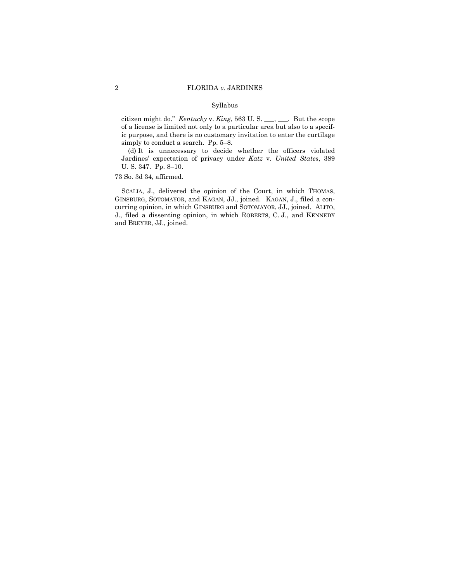## Syllabus

citizen might do." *Kentucky* v. *King*, 563 U. S. \_\_\_, \_\_\_. But the scope of a license is limited not only to a particular area but also to a specific purpose, and there is no customary invitation to enter the curtilage simply to conduct a search. Pp. 5–8.

(d) It is unnecessary to decide whether the officers violated Jardines' expectation of privacy under *Katz* v. *United States*, 389 U. S. 347. Pp. 8–10.

73 So. 3d 34, affirmed.

SCALIA, J., delivered the opinion of the Court, in which THOMAS, GINSBURG, SOTOMAYOR, and KAGAN, JJ., joined. KAGAN, J., filed a concurring opinion, in which GINSBURG and SOTOMAYOR, JJ., joined. ALITO, J., filed a dissenting opinion, in which ROBERTS, C. J., and KENNEDY and BREYER, JJ., joined.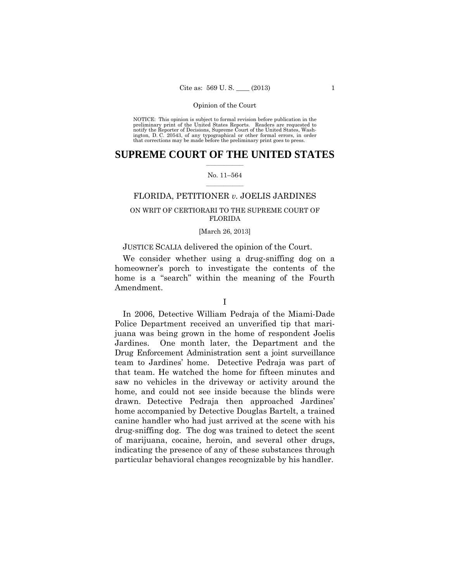preliminary print of the United States Reports. Readers are requested to notify the Reporter of Decisions, Supreme Court of the United States, Wash- ington, D. C. 20543, of any typographical or other formal errors, in order that corrections may be made before the preliminary print goes to press. NOTICE: This opinion is subject to formal revision before publication in the

## $\frac{1}{2}$  , where  $\frac{1}{2}$ **SUPREME COURT OF THE UNITED STATES**

## $\frac{1}{2}$  ,  $\frac{1}{2}$  ,  $\frac{1}{2}$  ,  $\frac{1}{2}$  ,  $\frac{1}{2}$  ,  $\frac{1}{2}$ No. 11–564

## FLORIDA, PETITIONER *v.* JOELIS JARDINES

## ON WRIT OF CERTIORARI TO THE SUPREME COURT OF FLORIDA

## [March 26, 2013]

## JUSTICE SCALIA delivered the opinion of the Court.

We consider whether using a drug-sniffing dog on a homeowner's porch to investigate the contents of the home is a "search" within the meaning of the Fourth Amendment.

## I

In 2006, Detective William Pedraja of the Miami-Dade Police Department received an unverified tip that marijuana was being grown in the home of respondent Joelis Jardines. One month later, the Department and the Drug Enforcement Administration sent a joint surveillance team to Jardines' home. Detective Pedraja was part of that team. He watched the home for fifteen minutes and saw no vehicles in the driveway or activity around the home, and could not see inside because the blinds were drawn. Detective Pedraja then approached Jardines' home accompanied by Detective Douglas Bartelt, a trained canine handler who had just arrived at the scene with his drug-sniffing dog. The dog was trained to detect the scent of marijuana, cocaine, heroin, and several other drugs, indicating the presence of any of these substances through particular behavioral changes recognizable by his handler.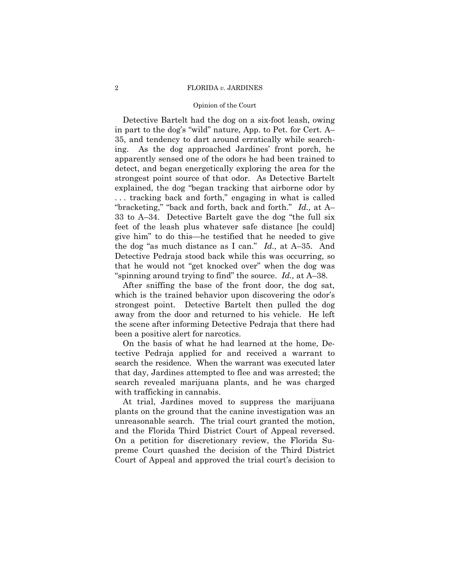## Opinion of the Court

Detective Bartelt had the dog on a six-foot leash, owing in part to the dog's "wild" nature, App. to Pet. for Cert. A– 35, and tendency to dart around erratically while searching. As the dog approached Jardines' front porch, he apparently sensed one of the odors he had been trained to detect, and began energetically exploring the area for the strongest point source of that odor. As Detective Bartelt explained, the dog "began tracking that airborne odor by . . . tracking back and forth," engaging in what is called "bracketing," "back and forth, back and forth." *Id.,* at A– 33 to A–34. Detective Bartelt gave the dog "the full six feet of the leash plus whatever safe distance [he could] give him" to do this—he testified that he needed to give the dog "as much distance as I can." *Id.,* at A–35. And Detective Pedraja stood back while this was occurring, so that he would not "get knocked over" when the dog was "spinning around trying to find" the source. *Id.,* at A–38.

After sniffing the base of the front door, the dog sat, which is the trained behavior upon discovering the odor's strongest point. Detective Bartelt then pulled the dog away from the door and returned to his vehicle. He left the scene after informing Detective Pedraja that there had been a positive alert for narcotics.

 search the residence. When the warrant was executed later On the basis of what he had learned at the home, Detective Pedraja applied for and received a warrant to that day, Jardines attempted to flee and was arrested; the search revealed marijuana plants, and he was charged with trafficking in cannabis.

At trial, Jardines moved to suppress the marijuana plants on the ground that the canine investigation was an unreasonable search. The trial court granted the motion, and the Florida Third District Court of Appeal reversed. On a petition for discretionary review, the Florida Supreme Court quashed the decision of the Third District Court of Appeal and approved the trial court's decision to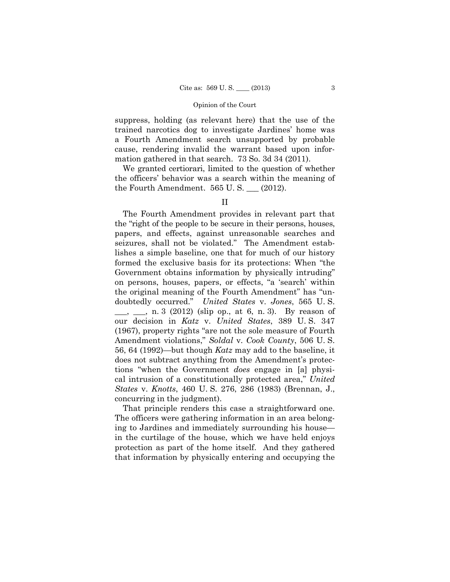suppress, holding (as relevant here) that the use of the trained narcotics dog to investigate Jardines' home was a Fourth Amendment search unsupported by probable cause, rendering invalid the warrant based upon information gathered in that search. 73 So. 3d 34 (2011).

We granted certiorari, limited to the question of whether the officers' behavior was a search within the meaning of the Fourth Amendment.  $565$  U. S.  $\_\_$  (2012).

The Fourth Amendment provides in relevant part that the "right of the people to be secure in their persons, houses, papers, and effects, against unreasonable searches and seizures, shall not be violated." The Amendment establishes a simple baseline, one that for much of our history formed the exclusive basis for its protections: When "the Government obtains information by physically intruding" on persons, houses, papers, or effects, "a 'search' within the original meaning of the Fourth Amendment" has "undoubtedly occurred." *United States* v. *Jones*, 565 U. S.  $\_, \_\_\_$ , n. 3 (2012) (slip op., at 6, n. 3). By reason of our decision in *Katz* v. *United States*, 389 U. S. 347 (1967), property rights "are not the sole measure of Fourth Amendment violations," *Soldal* v. *Cook County*, 506 U. S. 56, 64 (1992)—but though *Katz* may add to the baseline, it does not subtract anything from the Amendment's protections "when the Government *does* engage in [a] physical intrusion of a constitutionally protected area," *United States* v. *Knotts*, 460 U. S. 276, 286 (1983) (Brennan, J., concurring in the judgment).

That principle renders this case a straightforward one. The officers were gathering information in an area belonging to Jardines and immediately surrounding his house in the curtilage of the house, which we have held enjoys protection as part of the home itself. And they gathered that information by physically entering and occupying the

II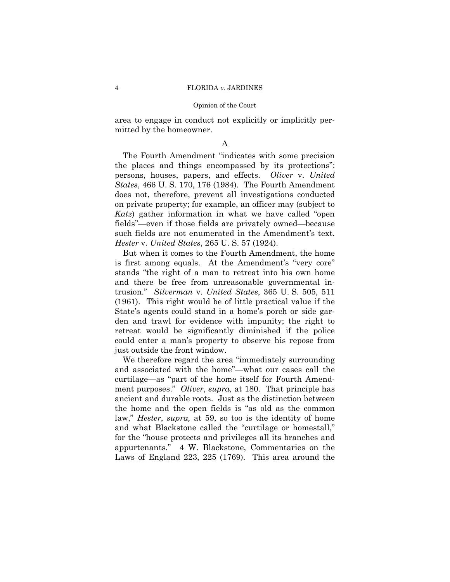area to engage in conduct not explicitly or implicitly permitted by the homeowner.

## A

The Fourth Amendment "indicates with some precision the places and things encompassed by its protections": persons, houses, papers, and effects. *Oliver* v. *United States*, 466 U. S. 170, 176 (1984). The Fourth Amendment does not, therefore, prevent all investigations conducted on private property; for example, an officer may (subject to *Katz*) gather information in what we have called "open fields"—even if those fields are privately owned—because such fields are not enumerated in the Amendment's text. *Hester* v. *United States*, 265 U. S. 57 (1924).

But when it comes to the Fourth Amendment, the home is first among equals. At the Amendment's "very core" stands "the right of a man to retreat into his own home and there be free from unreasonable governmental intrusion." *Silverman* v. *United States*, 365 U. S. 505, 511 (1961). This right would be of little practical value if the State's agents could stand in a home's porch or side garden and trawl for evidence with impunity; the right to retreat would be significantly diminished if the police could enter a man's property to observe his repose from just outside the front window.

We therefore regard the area "immediately surrounding and associated with the home"—what our cases call the curtilage—as "part of the home itself for Fourth Amendment purposes." *Oliver*, *supra,* at 180. That principle has ancient and durable roots. Just as the distinction between the home and the open fields is "as old as the common law," *Hester*, *supra,* at 59, so too is the identity of home and what Blackstone called the "curtilage or homestall," for the "house protects and privileges all its branches and appurtenants." 4 W. Blackstone, Commentaries on the Laws of England 223, 225 (1769). This area around the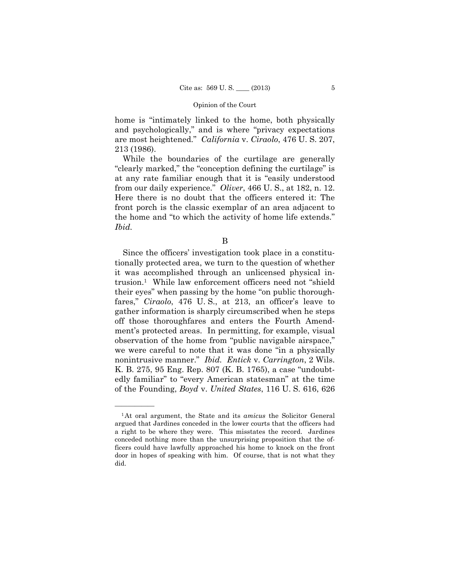home is "intimately linked to the home, both physically and psychologically," and is where "privacy expectations are most heightened." *California* v. *Ciraolo*, 476 U. S. 207, 213 (1986).

While the boundaries of the curtilage are generally "clearly marked," the "conception defining the curtilage" is at any rate familiar enough that it is "easily understood from our daily experience." *Oliver*, 466 U. S., at 182, n. 12. Here there is no doubt that the officers entered it: The front porch is the classic exemplar of an area adjacent to the home and "to which the activity of home life extends." *Ibid.* 

B

 nonintrusive manner." *Ibid. Entick* v. *Carrington*, 2 Wils. Since the officers' investigation took place in a constitutionally protected area, we turn to the question of whether it was accomplished through an unlicensed physical intrusion.1 While law enforcement officers need not "shield their eyes" when passing by the home "on public thoroughfares," *Ciraolo*, 476 U. S., at 213, an officer's leave to gather information is sharply circumscribed when he steps off those thoroughfares and enters the Fourth Amendment's protected areas. In permitting, for example, visual observation of the home from "public navigable airspace," we were careful to note that it was done "in a physically K. B. 275, 95 Eng. Rep. 807 (K. B. 1765), a case "undoubtedly familiar" to "every American statesman" at the time of the Founding, *Boyd* v. *United States*, 116 U. S. 616, 626

<sup>1</sup>At oral argument, the State and its *amicus* the Solicitor General argued that Jardines conceded in the lower courts that the officers had a right to be where they were. This misstates the record. Jardines conceded nothing more than the unsurprising proposition that the officers could have lawfully approached his home to knock on the front door in hopes of speaking with him. Of course, that is not what they did.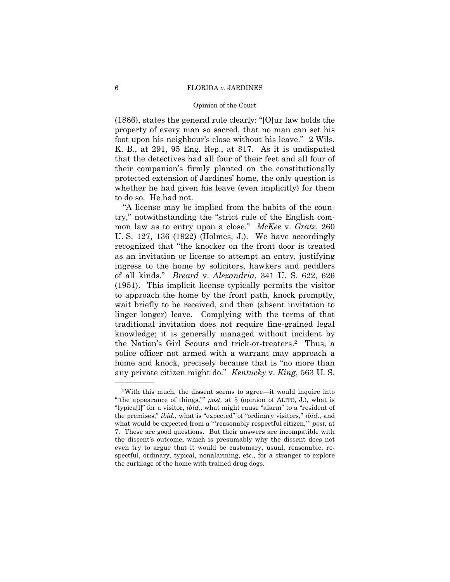## Opinion of the Court

(1886), states the general rule clearly: "[O]ur law holds the property of every man so sacred, that no man can set his foot upon his neighbour's close without his leave." 2 Wils. K. B., at 291, 95 Eng. Rep., at 817. As it is undisputed that the detectives had all four of their feet and all four of their companion's firmly planted on the constitutionally protected extension of Jardines' home, the only question is whether he had given his leave (even implicitly) for them to do so. He had not.

"A license may be implied from the habits of the country," notwithstanding the "strict rule of the English common law as to entry upon a close." *McKee* v. *Gratz*, 260 U. S. 127, 136 (1922) (Holmes, J.). We have accordingly recognized that "the knocker on the front door is treated as an invitation or license to attempt an entry, justifying ingress to the home by solicitors, hawkers and peddlers of all kinds." *Breard* v. *Alexandria*, 341 U. S. 622, 626 (1951). This implicit license typically permits the visitor to approach the home by the front path, knock promptly, wait briefly to be received, and then (absent invitation to linger longer) leave. Complying with the terms of that traditional invitation does not require fine-grained legal knowledge; it is generally managed without incident by the Nation's Girl Scouts and trick-or-treaters.2 Thus, a police officer not armed with a warrant may approach a home and knock, precisely because that is "no more than any private citizen might do." *Kentucky* v. *King*, 563 U. S.

<sup>2</sup>With this much, the dissent seems to agree—it would inquire into " the appearance of things," post, at 5 (opinion of ALITO, J.), what is "typica[l]" for a visitor, *ibid.*, what might cause "alarm" to a "resident of the premises," *ibid.*, what is "expected" of "ordinary visitors," *ibid.*, and what would be expected from a "'reasonably respectful citizen,'" post, at 7. These are good questions. But their answers are incompatible with the dissent's outcome, which is presumably why the dissent does not even try to argue that it would be customary, usual, reasonable, respectful, ordinary, typical, nonalarming, etc*.*, for a stranger to explore the curtilage of the home with trained drug dogs.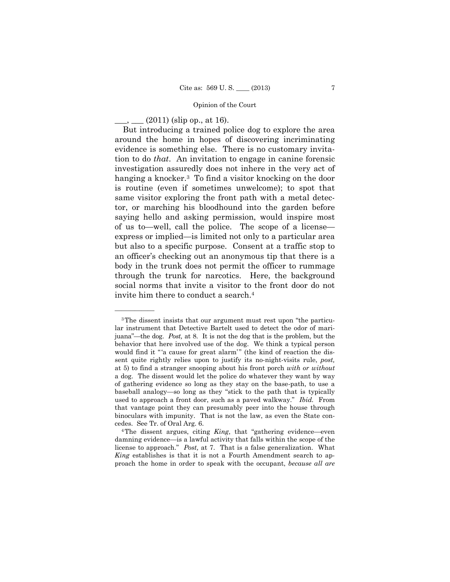## $\_, \_\_ (2011)$  (slip op., at 16).

——————

But introducing a trained police dog to explore the area around the home in hopes of discovering incriminating evidence is something else. There is no customary invitation to do *that*. An invitation to engage in canine forensic investigation assuredly does not inhere in the very act of hanging a knocker.<sup>3</sup> To find a visitor knocking on the door is routine (even if sometimes unwelcome); to spot that same visitor exploring the front path with a metal detector, or marching his bloodhound into the garden before saying hello and asking permission, would inspire most of us to—well, call the police. The scope of a license express or implied—is limited not only to a particular area but also to a specific purpose. Consent at a traffic stop to an officer's checking out an anonymous tip that there is a body in the trunk does not permit the officer to rummage through the trunk for narcotics. Here, the background social norms that invite a visitor to the front door do not invite him there to conduct a search.4

 juana"—the dog. *Post,* at 8. It is not the dog that is the problem, but the 3The dissent insists that our argument must rest upon "the particular instrument that Detective Bartelt used to detect the odor of maribehavior that here involved use of the dog. We think a typical person would find it "'a cause for great alarm'" (the kind of reaction the dissent quite rightly relies upon to justify its no-night-visits rule, *post,* at 5) to find a stranger snooping about his front porch *with or without*  a dog. The dissent would let the police do whatever they want by way of gathering evidence so long as they stay on the base-path, to use a baseball analogy—so long as they "stick to the path that is typically used to approach a front door, such as a paved walkway." *Ibid.* From that vantage point they can presumably peer into the house through binoculars with impunity. That is not the law, as even the State concedes. See Tr. of Oral Arg. 6. 4The dissent argues, citing *King*, that "gathering evidence—even

damning evidence—is a lawful activity that falls within the scope of the license to approach." *Post,* at 7. That is a false generalization. What *King* establishes is that it is not a Fourth Amendment search to approach the home in order to speak with the occupant, *because all are*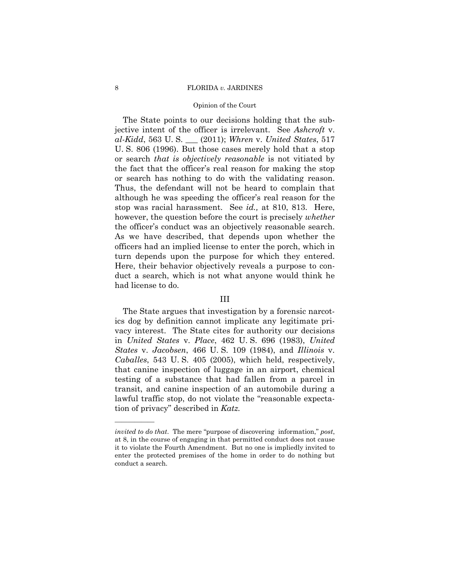## Opinion of the Court

The State points to our decisions holding that the subjective intent of the officer is irrelevant. See *Ashcroft* v. *al-Kidd*, 563 U. S. \_\_\_ (2011); *Whren* v. *United States*, 517 U. S. 806 (1996). But those cases merely hold that a stop or search *that is objectively reasonable* is not vitiated by the fact that the officer's real reason for making the stop or search has nothing to do with the validating reason. Thus, the defendant will not be heard to complain that although he was speeding the officer's real reason for the stop was racial harassment. See *id.,* at 810, 813. Here, however, the question before the court is precisely *whether*  the officer's conduct was an objectively reasonable search. As we have described, that depends upon whether the officers had an implied license to enter the porch, which in turn depends upon the purpose for which they entered. Here, their behavior objectively reveals a purpose to conduct a search, which is not what anyone would think he had license to do.

## III

The State argues that investigation by a forensic narcotics dog by definition cannot implicate any legitimate privacy interest. The State cites for authority our decisions in *United States* v. *Place*, 462 U. S. 696 (1983), *United States* v. *Jacobsen*, 466 U. S. 109 (1984), and *Illinois* v. *Caballes*, 543 U. S. 405 (2005), which held, respectively, that canine inspection of luggage in an airport, chemical testing of a substance that had fallen from a parcel in transit, and canine inspection of an automobile during a lawful traffic stop, do not violate the "reasonable expectation of privacy" described in *Katz.*

*invited to do that*. The mere "purpose of discovering information," *post*, at 8, in the course of engaging in that permitted conduct does not cause it to violate the Fourth Amendment. But no one is impliedly invited to enter the protected premises of the home in order to do nothing but conduct a search.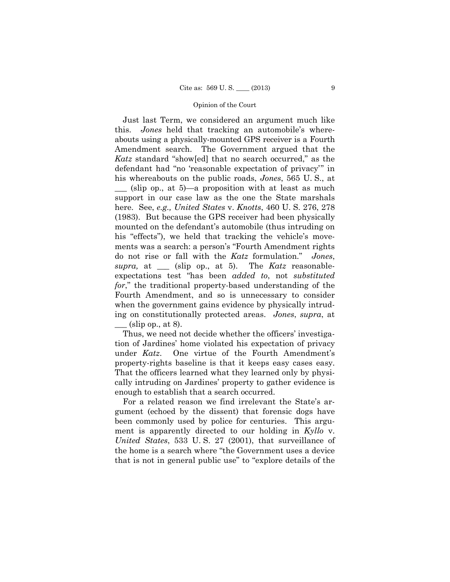Just last Term, we considered an argument much like this. *Jones* held that tracking an automobile's whereabouts using a physically-mounted GPS receiver is a Fourth Amendment search. The Government argued that the *Katz* standard "show[ed] that no search occurred," as the defendant had "no 'reasonable expectation of privacy'" in his whereabouts on the public roads, *Jones*, 565 U. S., at  $\equiv$  (slip op., at 5)—a proposition with at least as much support in our case law as the one the State marshals here. See, *e.g., United States* v. *Knotts*, 460 U. S. 276, 278 (1983). But because the GPS receiver had been physically mounted on the defendant's automobile (thus intruding on his "effects"), we held that tracking the vehicle's movements was a search: a person's "Fourth Amendment rights do not rise or fall with the *Katz* formulation." *Jones*, *supra,* at \_\_\_ (slip op., at 5). The *Katz* reasonableexpectations test "has been *added to*, not *substituted for*," the traditional property-based understanding of the Fourth Amendment, and so is unnecessary to consider when the government gains evidence by physically intruding on constitutionally protected areas. *Jones*, *supra*, at  $(\text{slip op.}, \text{at } 8).$ 

Thus, we need not decide whether the officers' investigation of Jardines' home violated his expectation of privacy under *Katz*. One virtue of the Fourth Amendment's property-rights baseline is that it keeps easy cases easy. That the officers learned what they learned only by physically intruding on Jardines' property to gather evidence is enough to establish that a search occurred.

For a related reason we find irrelevant the State's argument (echoed by the dissent) that forensic dogs have been commonly used by police for centuries. This argument is apparently directed to our holding in *Kyllo* v. *United States*, 533 U. S. 27 (2001), that surveillance of the home is a search where "the Government uses a device that is not in general public use" to "explore details of the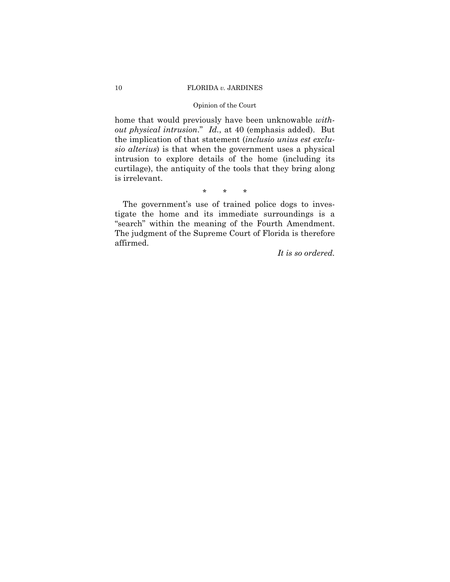## Opinion of the Court

 *out physical intrusion*." *Id.*, at 40 (emphasis added). But home that would previously have been unknowable *with*the implication of that statement (*inclusio unius est exclusio alterius*) is that when the government uses a physical intrusion to explore details of the home (including its curtilage), the antiquity of the tools that they bring along is irrelevant.

\* \* \*

The government's use of trained police dogs to investigate the home and its immediate surroundings is a "search" within the meaning of the Fourth Amendment. The judgment of the Supreme Court of Florida is therefore affirmed.

*It is so ordered.*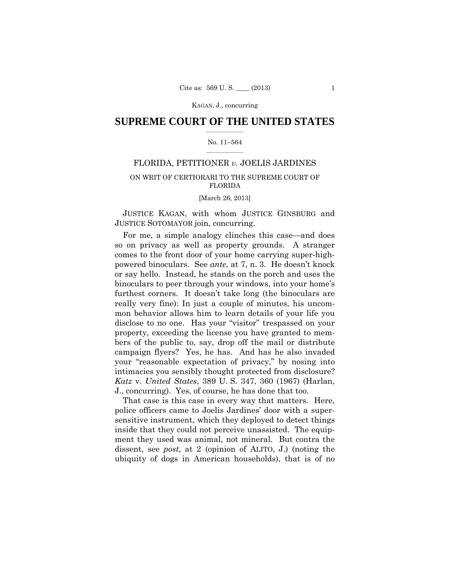## $\frac{1}{2}$  , where  $\frac{1}{2}$ **SUPREME COURT OF THE UNITED STATES**

## $\frac{1}{2}$  ,  $\frac{1}{2}$  ,  $\frac{1}{2}$  ,  $\frac{1}{2}$  ,  $\frac{1}{2}$  ,  $\frac{1}{2}$ No. 11–564

## FLORIDA, PETITIONER *v.* JOELIS JARDINES

## ON WRIT OF CERTIORARI TO THE SUPREME COURT OF FLORIDA

## [March 26, 2013]

 JUSTICE KAGAN, with whom JUSTICE GINSBURG and JUSTICE SOTOMAYOR join, concurring.

For me, a simple analogy clinches this case—and does so on privacy as well as property grounds. A stranger comes to the front door of your home carrying super-highpowered binoculars. See *ante*, at 7, n. 3. He doesn't knock or say hello. Instead, he stands on the porch and uses the binoculars to peer through your windows, into your home's furthest corners. It doesn't take long (the binoculars are really very fine): In just a couple of minutes, his uncommon behavior allows him to learn details of your life you disclose to no one. Has your "visitor" trespassed on your property, exceeding the license you have granted to members of the public to, say, drop off the mail or distribute campaign flyers? Yes, he has. And has he also invaded your "reasonable expectation of privacy," by nosing into intimacies you sensibly thought protected from disclosure? *Katz* v. *United States*, 389 U. S. 347, 360 (1967) (Harlan, J., concurring). Yes, of course, he has done that too.

That case is this case in every way that matters. Here, police officers came to Joelis Jardines' door with a supersensitive instrument, which they deployed to detect things inside that they could not perceive unassisted. The equipment they used was animal, not mineral. But contra the dissent, see *post*, at 2 (opinion of ALITO, J.) (noting the ubiquity of dogs in American households), that is of no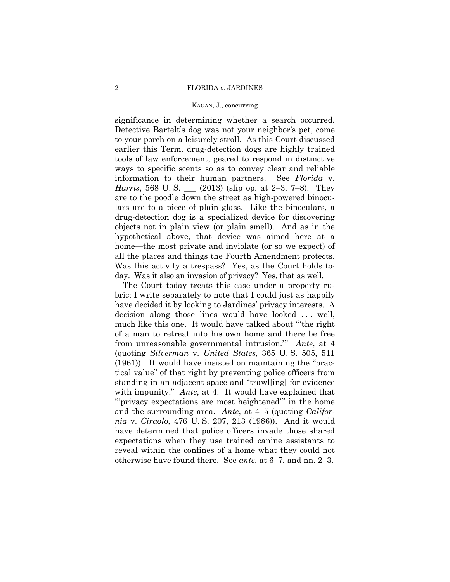## KAGAN, J., concurring

 day. Was it also an invasion of privacy? Yes, that as well. significance in determining whether a search occurred. Detective Bartelt's dog was not your neighbor's pet, come to your porch on a leisurely stroll. As this Court discussed earlier this Term, drug-detection dogs are highly trained tools of law enforcement, geared to respond in distinctive ways to specific scents so as to convey clear and reliable information to their human partners. See *Florida* v. *Harris*, 568 U. S. \_\_\_ (2013) (slip op. at 2–3, 7–8). They are to the poodle down the street as high-powered binoculars are to a piece of plain glass. Like the binoculars, a drug-detection dog is a specialized device for discovering objects not in plain view (or plain smell). And as in the hypothetical above, that device was aimed here at a home—the most private and inviolate (or so we expect) of all the places and things the Fourth Amendment protects. Was this activity a trespass? Yes, as the Court holds to-

The Court today treats this case under a property rubric; I write separately to note that I could just as happily have decided it by looking to Jardines' privacy interests. A decision along those lines would have looked . . . well, much like this one. It would have talked about "the right" of a man to retreat into his own home and there be free from unreasonable governmental intrusion.'" *Ante*, at 4 (quoting *Silverman* v. *United States*, 365 U. S. 505, 511 (1961)). It would have insisted on maintaining the "practical value" of that right by preventing police officers from standing in an adjacent space and "trawl[ing] for evidence with impunity." *Ante*, at 4. It would have explained that "'privacy expectations are most heightened'" in the home and the surrounding area. *Ante*, at 4–5 (quoting *California* v. *Ciraolo*, 476 U. S. 207, 213 (1986)). And it would have determined that police officers invade those shared expectations when they use trained canine assistants to reveal within the confines of a home what they could not otherwise have found there. See *ante*, at 6–7, and nn. 2–3.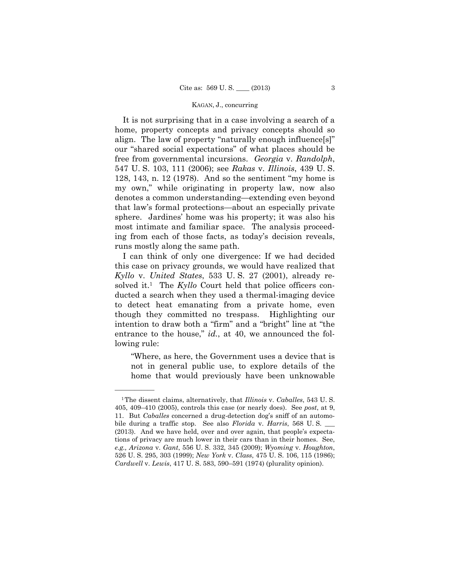It is not surprising that in a case involving a search of a home, property concepts and privacy concepts should so align. The law of property "naturally enough influence[s]" our "shared social expectations" of what places should be free from governmental incursions. *Georgia* v. *Randolph*, 547 U. S. 103, 111 (2006); see *Rakas* v. *Illinois*, 439 U. S. 128, 143, n. 12 (1978). And so the sentiment "my home is my own," while originating in property law, now also denotes a common understanding—extending even beyond that law's formal protections—about an especially private sphere. Jardines' home was his property; it was also his most intimate and familiar space. The analysis proceeding from each of those facts, as today's decision reveals, runs mostly along the same path.

solved it.<sup>1</sup> The *Kyllo* Court held that police officers con-I can think of only one divergence: If we had decided this case on privacy grounds, we would have realized that *Kyllo* v. *United States*, 533 U. S. 27 (2001), already reducted a search when they used a thermal-imaging device to detect heat emanating from a private home, even though they committed no trespass. Highlighting our intention to draw both a "firm" and a "bright" line at "the entrance to the house," *id.*, at 40, we announced the following rule:

"Where, as here, the Government uses a device that is not in general public use, to explore details of the home that would previously have been unknowable

<sup>1</sup>The dissent claims, alternatively, that *Illinois* v. *Caballes*, 543 U. S. 405, 409–410 (2005), controls this case (or nearly does). See *post*, at 9, 11. But *Caballes* concerned a drug-detection dog's sniff of an automobile during a traffic stop. See also *Florida* v. *Harris*, 568 U.S. (2013). And we have held, over and over again, that people's expectations of privacy are much lower in their cars than in their homes. See, *e.g., Arizona* v. *Gant*, 556 U. S. 332, 345 (2009); *Wyoming* v. *Houghton*, 526 U. S. 295, 303 (1999); *New York* v. *Class*, 475 U. S. 106, 115 (1986); *Cardwell* v. *Lewis*, 417 U. S. 583, 590–591 (1974) (plurality opinion).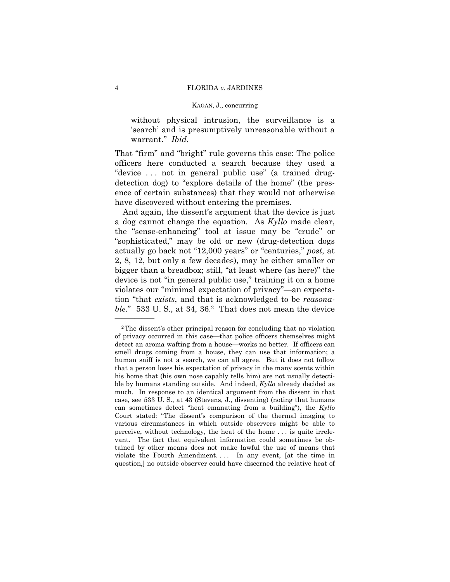without physical intrusion, the surveillance is a 'search' and is presumptively unreasonable without a warrant." *Ibid.* 

That "firm" and "bright" rule governs this case: The police officers here conducted a search because they used a "device . . . not in general public use" (a trained drugdetection dog) to "explore details of the home" (the presence of certain substances) that they would not otherwise have discovered without entering the premises.

And again, the dissent's argument that the device is just a dog cannot change the equation. As *Kyllo* made clear, the "sense-enhancing" tool at issue may be "crude" or "sophisticated," may be old or new (drug-detection dogs actually go back not "12,000 years" or "centuries," *post*, at 2, 8, 12, but only a few decades), may be either smaller or bigger than a breadbox; still, "at least where (as here)" the device is not "in general public use," training it on a home violates our "minimal expectation of privacy"—an expectation "that *exists*, and that is acknowledged to be *reasona*ble." 533 U.S., at 34, 36.<sup>2</sup> That does not mean the device

<sup>2</sup>The dissent's other principal reason for concluding that no violation of privacy occurred in this case—that police officers themselves might detect an aroma wafting from a house—works no better. If officers can smell drugs coming from a house, they can use that information; a human sniff is not a search, we can all agree. But it does not follow that a person loses his expectation of privacy in the many scents within his home that (his own nose capably tells him) are not usually detectible by humans standing outside. And indeed, *Kyllo* already decided as much. In response to an identical argument from the dissent in that case, see 533 U. S., at 43 (Stevens, J., dissenting) (noting that humans can sometimes detect "heat emanating from a building"), the *Kyllo* Court stated: "The dissent's comparison of the thermal imaging to various circumstances in which outside observers might be able to perceive, without technology, the heat of the home . . . is quite irrelevant. The fact that equivalent information could sometimes be obtained by other means does not make lawful the use of means that violate the Fourth Amendment. . . . In any event, [at the time in question,] no outside observer could have discerned the relative heat of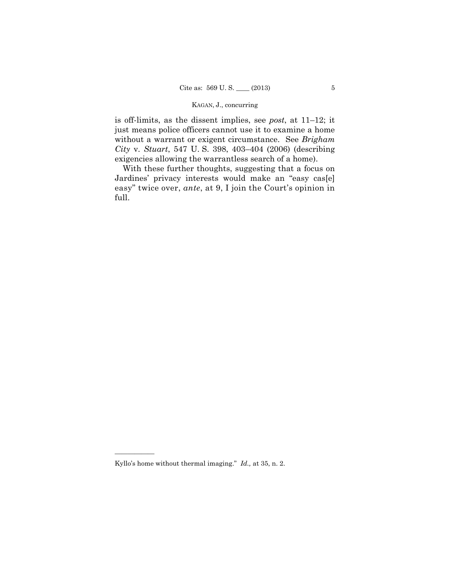is off-limits, as the dissent implies, see *post*, at 11–12; it just means police officers cannot use it to examine a home without a warrant or exigent circumstance. See *Brigham City* v. *Stuart*, 547 U. S. 398, 403–404 (2006) (describing exigencies allowing the warrantless search of a home).

With these further thoughts, suggesting that a focus on Jardines' privacy interests would make an "easy cas[e] easy" twice over, *ante*, at 9, I join the Court's opinion in full.

Kyllo's home without thermal imaging." *Id.,* at 35, n. 2.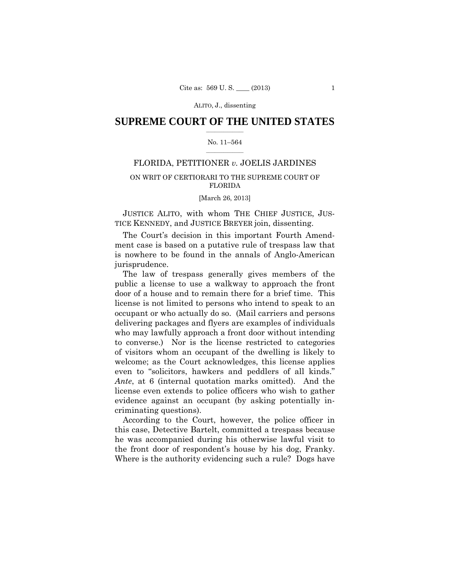## $\frac{1}{2}$  , where  $\frac{1}{2}$ **SUPREME COURT OF THE UNITED STATES**

## $\frac{1}{2}$  ,  $\frac{1}{2}$  ,  $\frac{1}{2}$  ,  $\frac{1}{2}$  ,  $\frac{1}{2}$  ,  $\frac{1}{2}$ No. 11–564

## FLORIDA, PETITIONER *v.* JOELIS JARDINES

## ON WRIT OF CERTIORARI TO THE SUPREME COURT OF FLORIDA

## [March 26, 2013]

 JUSTICE ALITO, with whom THE CHIEF JUSTICE, JUS-TICE KENNEDY, and JUSTICE BREYER join, dissenting.

The Court's decision in this important Fourth Amendment case is based on a putative rule of trespass law that is nowhere to be found in the annals of Anglo-American jurisprudence.

The law of trespass generally gives members of the public a license to use a walkway to approach the front door of a house and to remain there for a brief time. This license is not limited to persons who intend to speak to an occupant or who actually do so. (Mail carriers and persons delivering packages and flyers are examples of individuals who may lawfully approach a front door without intending to converse.) Nor is the license restricted to categories of visitors whom an occupant of the dwelling is likely to welcome; as the Court acknowledges, this license applies even to "solicitors, hawkers and peddlers of all kinds." *Ante*, at 6 (internal quotation marks omitted). And the license even extends to police officers who wish to gather evidence against an occupant (by asking potentially incriminating questions).

According to the Court, however, the police officer in this case, Detective Bartelt, committed a trespass because he was accompanied during his otherwise lawful visit to the front door of respondent's house by his dog, Franky. Where is the authority evidencing such a rule? Dogs have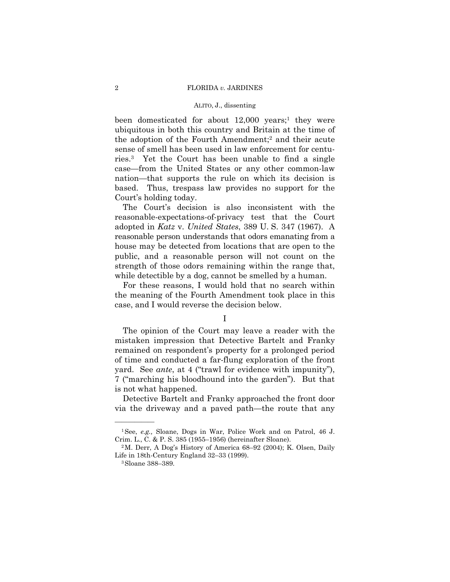## ALITO, J., dissenting

been domesticated for about  $12,000$  years;<sup>1</sup> they were ubiquitous in both this country and Britain at the time of the adoption of the Fourth Amendment;<sup>2</sup> and their acute sense of smell has been used in law enforcement for centuries.3 Yet the Court has been unable to find a single case—from the United States or any other common-law nation—that supports the rule on which its decision is based. Thus, trespass law provides no support for the Court's holding today.

The Court's decision is also inconsistent with the reasonable-expectations-of-privacy test that the Court adopted in *Katz* v. *United States*, 389 U. S. 347 (1967). A reasonable person understands that odors emanating from a house may be detected from locations that are open to the public, and a reasonable person will not count on the strength of those odors remaining within the range that, while detectible by a dog, cannot be smelled by a human.

For these reasons, I would hold that no search within the meaning of the Fourth Amendment took place in this case, and I would reverse the decision below.

The opinion of the Court may leave a reader with the mistaken impression that Detective Bartelt and Franky remained on respondent's property for a prolonged period of time and conducted a far-flung exploration of the front yard. See *ante*, at 4 ("trawl for evidence with impunity"), 7 ("marching his bloodhound into the garden"). But that is not what happened.

Detective Bartelt and Franky approached the front door via the driveway and a paved path—the route that any

I

<sup>1</sup>See, *e.g.,* Sloane, Dogs in War, Police Work and on Patrol, 46 J. Crim. L., C. & P. S. 385 (1955–1956) (hereinafter Sloane). 2M. Derr, A Dog's History of America 68–92 (2004); K. Olsen, Daily

Life in 18th-Century England 32–33 (1999). 3Sloane 388–389.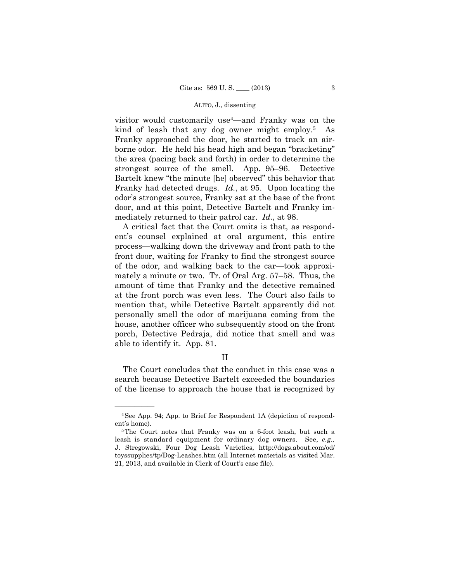visitor would customarily use4—and Franky was on the kind of leash that any dog owner might employ.<sup>5</sup> As Franky approached the door, he started to track an airborne odor. He held his head high and began "bracketing" the area (pacing back and forth) in order to determine the strongest source of the smell. App. 95–96. Detective Bartelt knew "the minute [he] observed" this behavior that Franky had detected drugs. *Id.*, at 95. Upon locating the odor's strongest source, Franky sat at the base of the front door, and at this point, Detective Bartelt and Franky immediately returned to their patrol car. *Id.*, at 98.

A critical fact that the Court omits is that, as respondent's counsel explained at oral argument, this entire process—walking down the driveway and front path to the front door, waiting for Franky to find the strongest source of the odor, and walking back to the car—took approximately a minute or two. Tr. of Oral Arg. 57–58. Thus, the amount of time that Franky and the detective remained at the front porch was even less. The Court also fails to mention that, while Detective Bartelt apparently did not personally smell the odor of marijuana coming from the house, another officer who subsequently stood on the front porch, Detective Pedraja, did notice that smell and was able to identify it. App. 81.

## II

The Court concludes that the conduct in this case was a search because Detective Bartelt exceeded the boundaries of the license to approach the house that is recognized by

<sup>4</sup>See App. 94; App. to Brief for Respondent 1A (depiction of respondent's home). 5The Court notes that Franky was on a 6-foot leash, but such a

leash is standard equipment for ordinary dog owners. See, *e.g.,* J. Stregowski, Four Dog Leash Varieties, http://dogs.about.com/od/ toyssupplies/tp/Dog-Leashes.htm (all Internet materials as visited Mar. 21, 2013, and available in Clerk of Court's case file).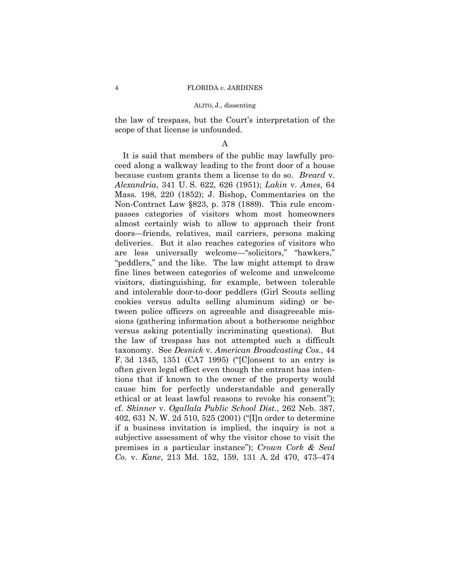the law of trespass, but the Court's interpretation of the scope of that license is unfounded.

## A

It is said that members of the public may lawfully proceed along a walkway leading to the front door of a house because custom grants them a license to do so. *Breard* v. *Alexandria*, 341 U. S. 622, 626 (1951); *Lakin* v. *Ames*, 64 Mass. 198, 220 (1852); J. Bishop, Commentaries on the Non-Contract Law §823, p. 378 (1889). This rule encompasses categories of visitors whom most homeowners almost certainly wish to allow to approach their front doors—friends, relatives, mail carriers, persons making deliveries. But it also reaches categories of visitors who are less universally welcome—"solicitors," "hawkers," "peddlers," and the like. The law might attempt to draw fine lines between categories of welcome and unwelcome visitors, distinguishing, for example, between tolerable and intolerable door-to-door peddlers (Girl Scouts selling cookies versus adults selling aluminum siding) or between police officers on agreeable and disagreeable missions (gathering information about a bothersome neighbor versus asking potentially incriminating questions). But the law of trespass has not attempted such a difficult taxonomy. See *Desnick* v. *American Broadcasting Cos.,* 44 F. 3d 1345, 1351 (CA7 1995) ("[C]onsent to an entry is often given legal effect even though the entrant has intentions that if known to the owner of the property would cause him for perfectly understandable and generally ethical or at least lawful reasons to revoke his consent"); cf. *Skinner* v. *Ogallala Public School Dist.*, 262 Neb. 387, 402, 631 N. W. 2d 510, 525 (2001) ("[I]n order to determine if a business invitation is implied, the inquiry is not a subjective assessment of why the visitor chose to visit the premises in a particular instance"); *Crown Cork & Seal Co.* v. *Kane*, 213 Md. 152, 159, 131 A. 2d 470, 473–474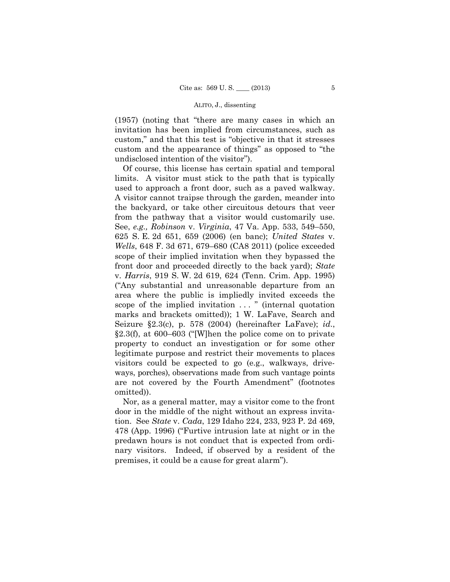(1957) (noting that "there are many cases in which an invitation has been implied from circumstances, such as custom," and that this test is "objective in that it stresses custom and the appearance of things" as opposed to "the undisclosed intention of the visitor").

Of course, this license has certain spatial and temporal limits. A visitor must stick to the path that is typically used to approach a front door, such as a paved walkway. A visitor cannot traipse through the garden, meander into the backyard, or take other circuitous detours that veer from the pathway that a visitor would customarily use. See, *e.g., Robinson* v. *Virginia*, 47 Va. App. 533, 549–550, 625 S. E. 2d 651, 659 (2006) (en banc); *United States* v. *Wells*, 648 F. 3d 671, 679–680 (CA8 2011) (police exceeded scope of their implied invitation when they bypassed the front door and proceeded directly to the back yard); *State*  v. *Harris*, 919 S. W. 2d 619, 624 (Tenn. Crim. App. 1995) ("Any substantial and unreasonable departure from an area where the public is impliedly invited exceeds the scope of the implied invitation . . . " (internal quotation marks and brackets omitted)); 1 W. LaFave, Search and Seizure §2.3(c), p. 578 (2004) (hereinafter LaFave); *id*., §2.3(f), at 600–603 ("[W]hen the police come on to private property to conduct an investigation or for some other legitimate purpose and restrict their movements to places visitors could be expected to go (e.g., walkways, driveways, porches), observations made from such vantage points are not covered by the Fourth Amendment" (footnotes omitted)).

Nor, as a general matter, may a visitor come to the front door in the middle of the night without an express invitation. See *State* v. *Cada*, 129 Idaho 224, 233, 923 P. 2d 469, 478 (App. 1996) ("Furtive intrusion late at night or in the predawn hours is not conduct that is expected from ordinary visitors. Indeed, if observed by a resident of the premises, it could be a cause for great alarm").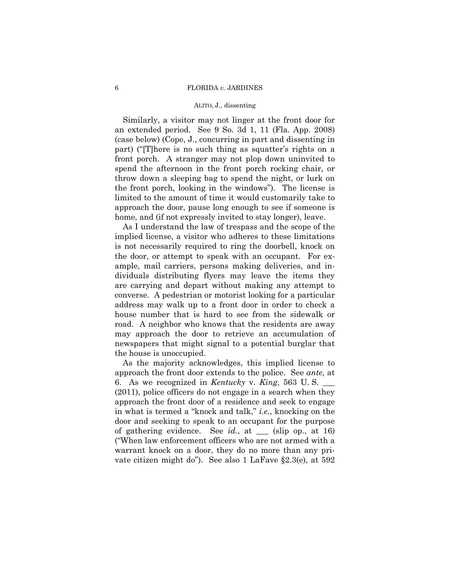## ALITO, J., dissenting

Similarly, a visitor may not linger at the front door for an extended period. See 9 So. 3d 1, 11 (Fla. App. 2008) (case below) (Cope, J., concurring in part and dissenting in part) ("[T]here is no such thing as squatter's rights on a front porch. A stranger may not plop down uninvited to spend the afternoon in the front porch rocking chair, or throw down a sleeping bag to spend the night, or lurk on the front porch, looking in the windows"). The license is limited to the amount of time it would customarily take to approach the door, pause long enough to see if someone is home, and (if not expressly invited to stay longer), leave.

As I understand the law of trespass and the scope of the implied license, a visitor who adheres to these limitations is not necessarily required to ring the doorbell, knock on the door, or attempt to speak with an occupant. For example, mail carriers, persons making deliveries, and individuals distributing flyers may leave the items they are carrying and depart without making any attempt to converse. A pedestrian or motorist looking for a particular address may walk up to a front door in order to check a house number that is hard to see from the sidewalk or road. A neighbor who knows that the residents are away may approach the door to retrieve an accumulation of newspapers that might signal to a potential burglar that the house is unoccupied.

As the majority acknowledges, this implied license to approach the front door extends to the police. See *ante,* at 6. As we recognized in *Kentucky* v. *King*, 563 U. S. \_\_\_ (2011), police officers do not engage in a search when they approach the front door of a residence and seek to engage in what is termed a "knock and talk," *i.e.*, knocking on the door and seeking to speak to an occupant for the purpose of gathering evidence. See *id.*, at \_\_\_ (slip op., at 16) ("When law enforcement officers who are not armed with a warrant knock on a door, they do no more than any private citizen might do"). See also 1 LaFave §2.3(e), at 592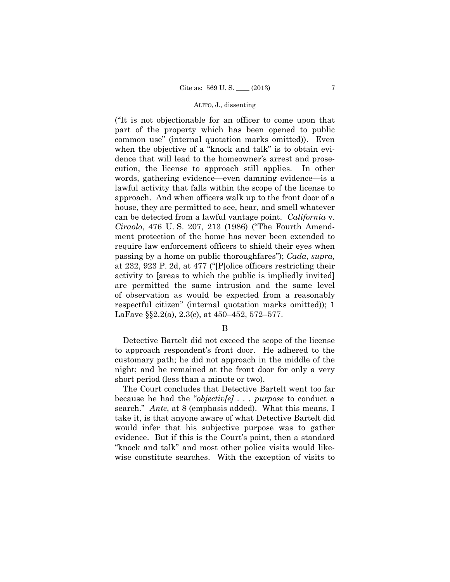("It is not objectionable for an officer to come upon that part of the property which has been opened to public common use" (internal quotation marks omitted)). Even when the objective of a "knock and talk" is to obtain evidence that will lead to the homeowner's arrest and prosecution, the license to approach still applies. In other words, gathering evidence—even damning evidence—is a lawful activity that falls within the scope of the license to approach. And when officers walk up to the front door of a house, they are permitted to see, hear, and smell whatever can be detected from a lawful vantage point. *California* v. *Ciraolo*, 476 U. S. 207, 213 (1986) ("The Fourth Amendment protection of the home has never been extended to require law enforcement officers to shield their eyes when passing by a home on public thoroughfares"); *Cada*, *supra,* at 232, 923 P. 2d, at 477 ("[P]olice officers restricting their activity to [areas to which the public is impliedly invited] are permitted the same intrusion and the same level of observation as would be expected from a reasonably respectful citizen" (internal quotation marks omitted)); 1 LaFave §§2.2(a), 2.3(c), at 450–452, 572–577.

## B

Detective Bartelt did not exceed the scope of the license to approach respondent's front door. He adhered to the customary path; he did not approach in the middle of the night; and he remained at the front door for only a very short period (less than a minute or two).

The Court concludes that Detective Bartelt went too far because he had the "*objectiv[e] . . . purpose* to conduct a search." *Ante*, at 8 (emphasis added). What this means, I take it, is that anyone aware of what Detective Bartelt did would infer that his subjective purpose was to gather evidence. But if this is the Court's point, then a standard "knock and talk" and most other police visits would likewise constitute searches. With the exception of visits to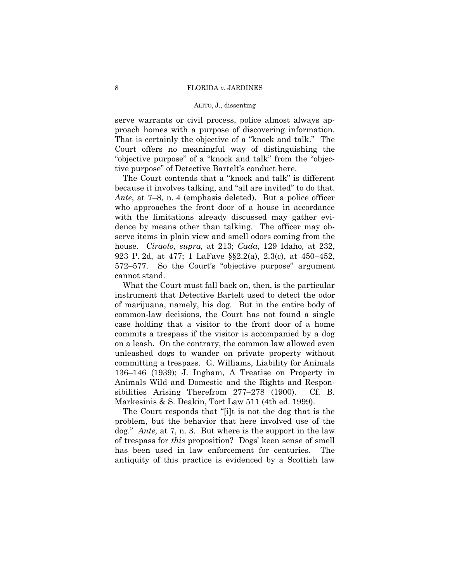serve warrants or civil process, police almost always approach homes with a purpose of discovering information. That is certainly the objective of a "knock and talk." The Court offers no meaningful way of distinguishing the "objective purpose" of a "knock and talk" from the "objective purpose" of Detective Bartelt's conduct here.

The Court contends that a "knock and talk" is different because it involves talking, and "all are invited" to do that. *Ante*, at 7–8, n. 4 (emphasis deleted). But a police officer who approaches the front door of a house in accordance with the limitations already discussed may gather evidence by means other than talking. The officer may observe items in plain view and smell odors coming from the house. *Ciraolo*, *supra,* at 213; *Cada*, 129 Idaho*,* at 232, 923 P. 2d, at 477; 1 LaFave §§2.2(a), 2.3(c), at 450–452, 572–577. So the Court's "objective purpose" argument cannot stand.

What the Court must fall back on, then, is the particular instrument that Detective Bartelt used to detect the odor of marijuana, namely, his dog. But in the entire body of common-law decisions, the Court has not found a single case holding that a visitor to the front door of a home commits a trespass if the visitor is accompanied by a dog on a leash. On the contrary, the common law allowed even unleashed dogs to wander on private property without committing a trespass. G. Williams, Liability for Animals 136–146 (1939); J. Ingham, A Treatise on Property in Animals Wild and Domestic and the Rights and Responsibilities Arising Therefrom 277–278 (1900). Cf. B. Markesinis & S. Deakin, Tort Law 511 (4th ed. 1999).

The Court responds that "[i]t is not the dog that is the problem, but the behavior that here involved use of the dog." *Ante,* at 7, n. 3. But where is the support in the law of trespass for *this* proposition? Dogs' keen sense of smell has been used in law enforcement for centuries. The antiquity of this practice is evidenced by a Scottish law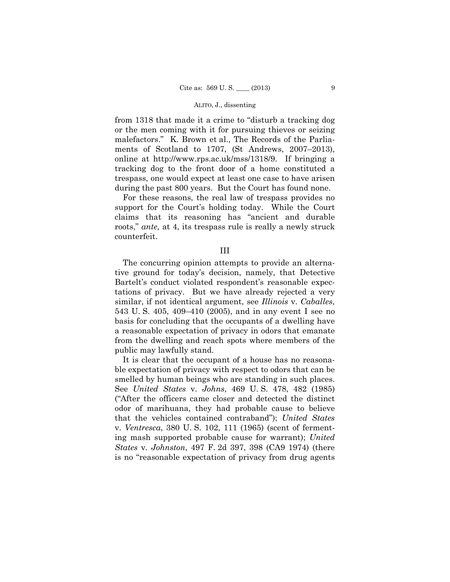from 1318 that made it a crime to "disturb a tracking dog or the men coming with it for pursuing thieves or seizing malefactors." K. Brown et al., The Records of the Parliaments of Scotland to 1707, (St Andrews, 2007–2013), online at http://www.rps.ac.uk/mss/1318/9. If bringing a tracking dog to the front door of a home constituted a trespass, one would expect at least one case to have arisen during the past 800 years. But the Court has found none.

For these reasons, the real law of trespass provides no support for the Court's holding today. While the Court claims that its reasoning has "ancient and durable roots," *ante,* at 4, its trespass rule is really a newly struck counterfeit.

## III

The concurring opinion attempts to provide an alternative ground for today's decision, namely, that Detective Bartelt's conduct violated respondent's reasonable expectations of privacy. But we have already rejected a very similar, if not identical argument, see *Illinois* v. *Caballes*, 543 U. S. 405, 409–410 (2005), and in any event I see no basis for concluding that the occupants of a dwelling have a reasonable expectation of privacy in odors that emanate from the dwelling and reach spots where members of the public may lawfully stand.

It is clear that the occupant of a house has no reasonable expectation of privacy with respect to odors that can be smelled by human beings who are standing in such places. See *United States* v. *Johns*, 469 U. S. 478, 482 (1985) ("After the officers came closer and detected the distinct odor of marihuana, they had probable cause to believe that the vehicles contained contraband"); *United States*  v. *Ventresca*, 380 U. S. 102, 111 (1965) (scent of fermenting mash supported probable cause for warrant); *United States* v. *Johnston*, 497 F. 2d 397, 398 (CA9 1974) (there is no "reasonable expectation of privacy from drug agents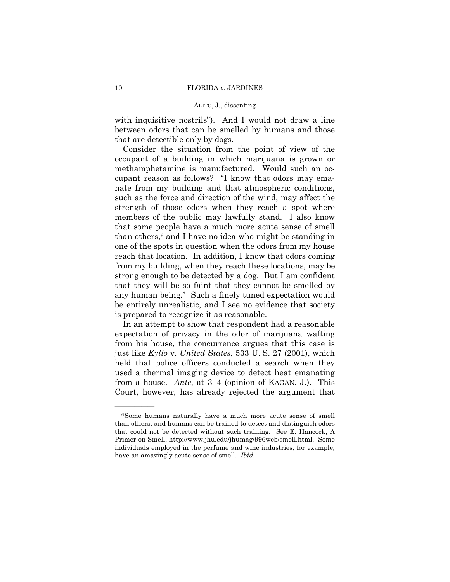with inquisitive nostrils"). And I would not draw a line between odors that can be smelled by humans and those that are detectible only by dogs.

Consider the situation from the point of view of the occupant of a building in which marijuana is grown or methamphetamine is manufactured. Would such an occupant reason as follows? "I know that odors may emanate from my building and that atmospheric conditions, such as the force and direction of the wind, may affect the strength of those odors when they reach a spot where members of the public may lawfully stand. I also know that some people have a much more acute sense of smell than others,6 and I have no idea who might be standing in one of the spots in question when the odors from my house reach that location. In addition, I know that odors coming from my building, when they reach these locations, may be strong enough to be detected by a dog. But I am confident that they will be so faint that they cannot be smelled by any human being." Such a finely tuned expectation would be entirely unrealistic, and I see no evidence that society is prepared to recognize it as reasonable.

 just like *Kyllo* v. *United States*, 533 U. S. 27 (2001), which In an attempt to show that respondent had a reasonable expectation of privacy in the odor of marijuana wafting from his house, the concurrence argues that this case is held that police officers conducted a search when they used a thermal imaging device to detect heat emanating from a house. *Ante*, at 3–4 (opinion of KAGAN, J.). This Court, however, has already rejected the argument that

<sup>6</sup>Some humans naturally have a much more acute sense of smell than others, and humans can be trained to detect and distinguish odors that could not be detected without such training. See E. Hancock, A Primer on Smell, http://www.jhu.edu/jhumag/996web/smell.html. Some individuals employed in the perfume and wine industries, for example, have an amazingly acute sense of smell. *Ibid.*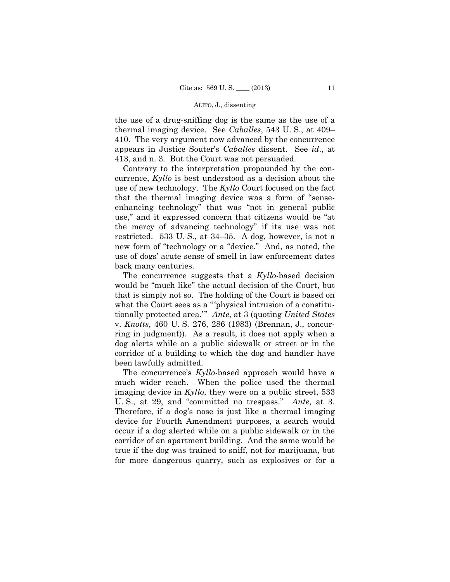the use of a drug-sniffing dog is the same as the use of a thermal imaging device. See *Caballes*, 543 U. S., at 409– 410. The very argument now advanced by the concurrence appears in Justice Souter's *Caballes* dissent. See *id*., at 413, and n. 3. But the Court was not persuaded.

Contrary to the interpretation propounded by the concurrence, *Kyllo* is best understood as a decision about the use of new technology. The *Kyllo* Court focused on the fact that the thermal imaging device was a form of "senseenhancing technology" that was "not in general public use," and it expressed concern that citizens would be "at the mercy of advancing technology" if its use was not restricted. 533 U. S., at 34–35. A dog, however, is not a new form of "technology or a "device." And, as noted, the use of dogs' acute sense of smell in law enforcement dates back many centuries.

The concurrence suggests that a *Kyllo*-based decision would be "much like" the actual decision of the Court, but that is simply not so. The holding of the Court is based on what the Court sees as a "'physical intrusion of a constitutionally protected area.'" *Ante*, at 3 (quoting *United States*  v. *Knotts*, 460 U. S. 276, 286 (1983) (Brennan, J., concurring in judgment)). As a result, it does not apply when a dog alerts while on a public sidewalk or street or in the corridor of a building to which the dog and handler have been lawfully admitted.

 U. S., at 29, and "committed no trespass." *Ante*, at 3. The concurrence's *Kyllo*-based approach would have a much wider reach. When the police used the thermal imaging device in *Kyllo*, they were on a public street, 533 Therefore, if a dog's nose is just like a thermal imaging device for Fourth Amendment purposes, a search would occur if a dog alerted while on a public sidewalk or in the corridor of an apartment building. And the same would be true if the dog was trained to sniff, not for marijuana, but for more dangerous quarry, such as explosives or for a